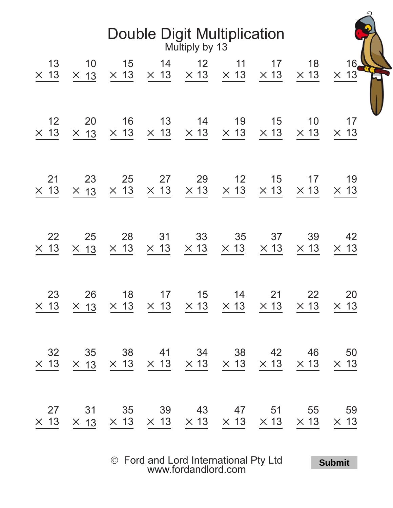| <b>Double Digit Multiplication</b><br>Multiply by 13 |                   |                                                                                     |                |                         |                                           |                   |                   |                   |  |  |  |  |
|------------------------------------------------------|-------------------|-------------------------------------------------------------------------------------|----------------|-------------------------|-------------------------------------------|-------------------|-------------------|-------------------|--|--|--|--|
| 13                                                   | 10                | 15                                                                                  | 14             | 12                      | 11                                        | 17                | 18                | 16 <sub>6</sub>   |  |  |  |  |
| $\times$ 13                                          | $\times$ 13       | $\times$ 13                                                                         |                | $\times$ 13 $\times$ 13 | $\times$ 13                               | $\times$ 13       | $\times$ 13       | $\times$ 13       |  |  |  |  |
| 12                                                   | 20                | 16                                                                                  | 13             | 14                      | 19                                        | 15                | 10                | 17                |  |  |  |  |
| $\times$ 13                                          | $\times$ 13       | $\times$ 13                                                                         | $\times$ 13    | $\times$ 13             | $\times$ 13                               | $\times$ 13       | $\times$ 13       | $\times$ 13       |  |  |  |  |
| 21                                                   | 23                | 25                                                                                  | 27             | 29                      | 12                                        | 15                | 17                | 19                |  |  |  |  |
| $\times$ 13                                          | $\times$ 13       | $\times$ 13                                                                         | $\times$ 13    | $\times$ 13             | $\times$ 13                               | $\times$ 13       | $\times$ 13       | $\times$ 13       |  |  |  |  |
| 22                                                   | 25                | 28                                                                                  | 31             | 33                      | 35                                        | 37                | 39                | 42                |  |  |  |  |
| $\times$ 13                                          | $\times$ 13       | $\times$ 13                                                                         | $\times$ 13    | $\times$ 13             | $\times$ 13                               | $\times$ 13       | $\times$ 13       | $\times$ 13       |  |  |  |  |
| 23<br>$\times$ 13                                    | 26                | 18<br>$\times$ 13 $\times$ 13 $\times$ 13 $\times$ 13 $\times$ 13                   | 17             | 15                      | 14                                        | 21<br>$\times$ 13 | 22<br>$\times$ 13 | 20<br>$\times$ 13 |  |  |  |  |
| 32<br>$\times$ 13                                    | 35                | $\times$ 13 $\times$ 13 $\times$ 13 $\times$ 13 $\times$ 13 $\times$ 13 $\times$ 13 | 38 41 34 38 42 |                         |                                           |                   | 46                | 50<br>$\times$ 13 |  |  |  |  |
| 27<br>$\times$ 13                                    | 31<br>$\times$ 13 | 35<br>$\times$ 13                                                                   | 39             | 43                      | 47<br>$\times$ 13 $\times$ 13 $\times$ 13 | 51<br>$\times$ 13 | 55<br>$\times$ 13 | 59<br>$\times$ 13 |  |  |  |  |

Ó Ford and Lord International Pty Ltd [www.fordandlord.com](http://www.fordandlord.com)

**Submit**